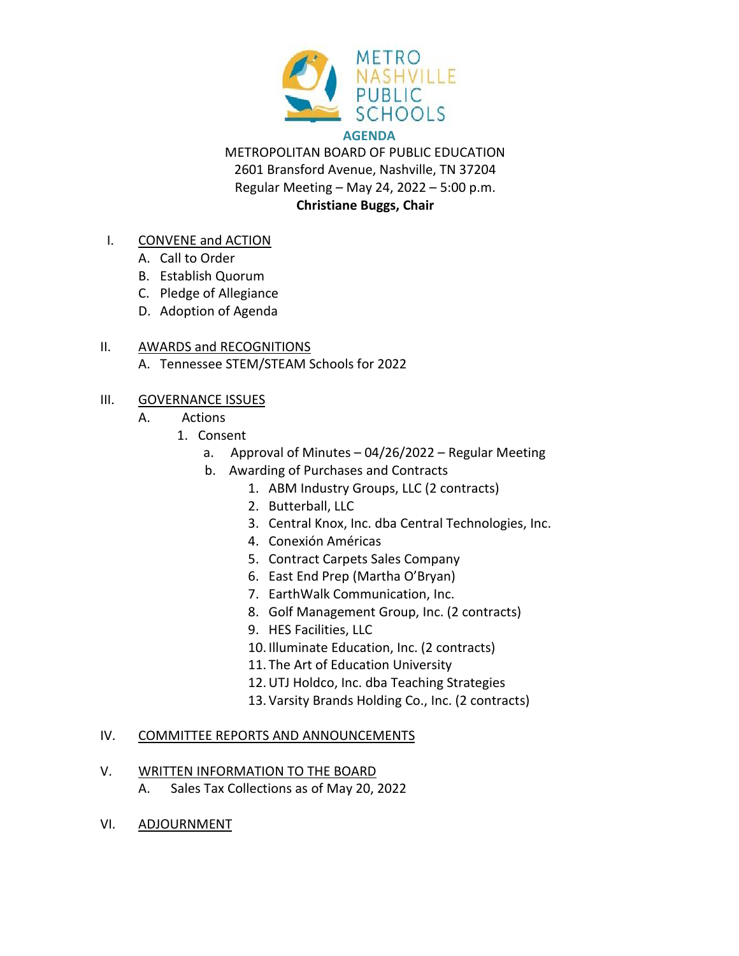

METROPOLITAN BOARD OF PUBLIC EDUCATION 2601 Bransford Avenue, Nashville, TN 37204 Regular Meeting – May 24, 2022 – 5:00 p.m. **Christiane Buggs, Chair**

- I. CONVENE and ACTION
	- A. Call to Order
	- B. Establish Quorum
	- C. Pledge of Allegiance
	- D. Adoption of Agenda

#### II. AWARDS and RECOGNITIONS

A. Tennessee STEM/STEAM Schools for 2022

#### III. GOVERNANCE ISSUES

- A. Actions
	- 1. Consent
		- a. Approval of Minutes 04/26/2022 Regular Meeting
		- b. Awarding of Purchases and Contracts
			- 1. ABM Industry Groups, LLC (2 contracts)
			- 2. Butterball, LLC
			- 3. Central Knox, Inc. dba Central Technologies, Inc.
			- 4. Conexión Américas
			- 5. Contract Carpets Sales Company
			- 6. East End Prep (Martha O'Bryan)
			- 7. EarthWalk Communication, Inc.
			- 8. Golf Management Group, Inc. (2 contracts)
			- 9. HES Facilities, LLC
			- 10. Illuminate Education, Inc. (2 contracts)
			- 11. The Art of Education University
			- 12.UTJ Holdco, Inc. dba Teaching Strategies
			- 13. Varsity Brands Holding Co., Inc. (2 contracts)

#### IV. COMMITTEE REPORTS AND ANNOUNCEMENTS

- V. WRITTEN INFORMATION TO THE BOARD
	- A. Sales Tax Collections as of May 20, 2022
- VI. ADJOURNMENT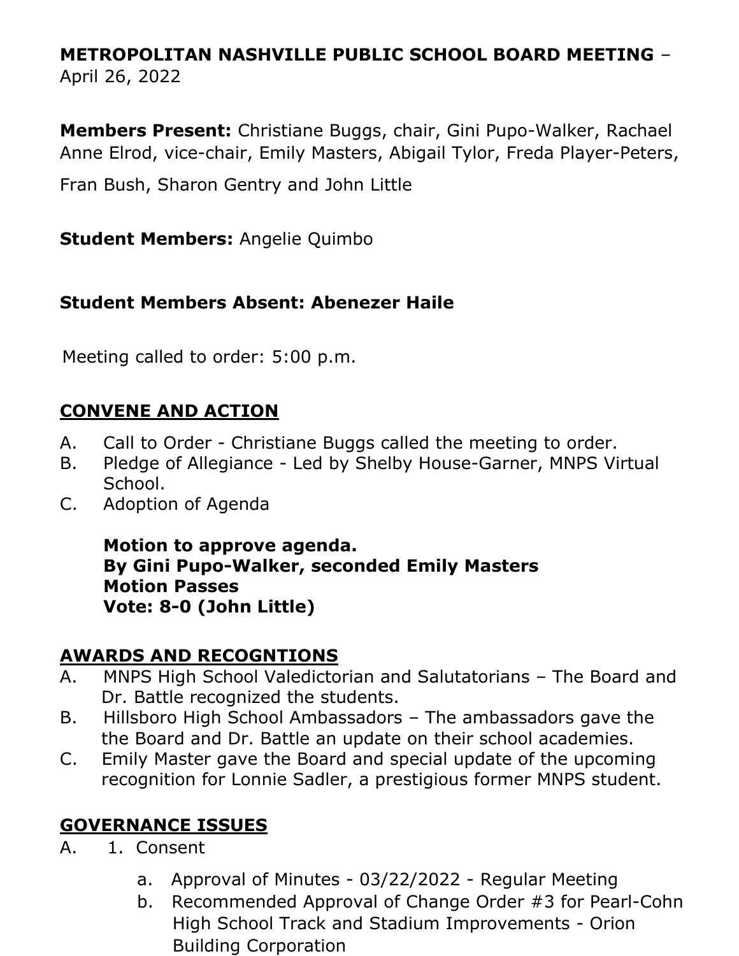# **METROPOLITAN NASHVILLE PUBLIC SCHOOL BOARD MEETING** – April 26, 2022

**Members Present:** Christiane Buggs, chair, Gini Pupo-Walker, Rachael Anne Elrod, vice-chair, Emily Masters, Abigail Tylor, Freda Player-Peters,

Fran Bush, Sharon Gentry and John Little

**Student Members:** Angelie Quimbo

## **Student Members Absent: Abenezer Haile**

Meeting called to order: 5:00 p.m.

## **CONVENE AND ACTION**

- A. Call to Order Christiane Buggs called the meeting to order.
- B. Pledge of Allegiance Led by Shelby House-Garner, MNPS Virtual School.
- C. Adoption of Agenda

**Motion to approve agenda. By Gini Pupo-Walker, seconded Emily Masters Motion Passes Vote: 8-0 (John Little)**

## **AWARDS AND RECOGNTIONS**

- A. MNPS High School Valedictorian and Salutatorians The Board and Dr. Battle recognized the students.
- B. Hillsboro High School Ambassadors The ambassadors gave the the Board and Dr. Battle an update on their school academies.
- C. Emily Master gave the Board and special update of the upcoming recognition for Lonnie Sadler, a prestigious former MNPS student.

## **GOVERNANCE ISSUES**

- A. 1. Consent
	- a. Approval of Minutes 03/22/2022 Regular Meeting
	- b. Recommended Approval of Change Order #3 for Pearl-Cohn High School Track and Stadium Improvements - Orion Building Corporation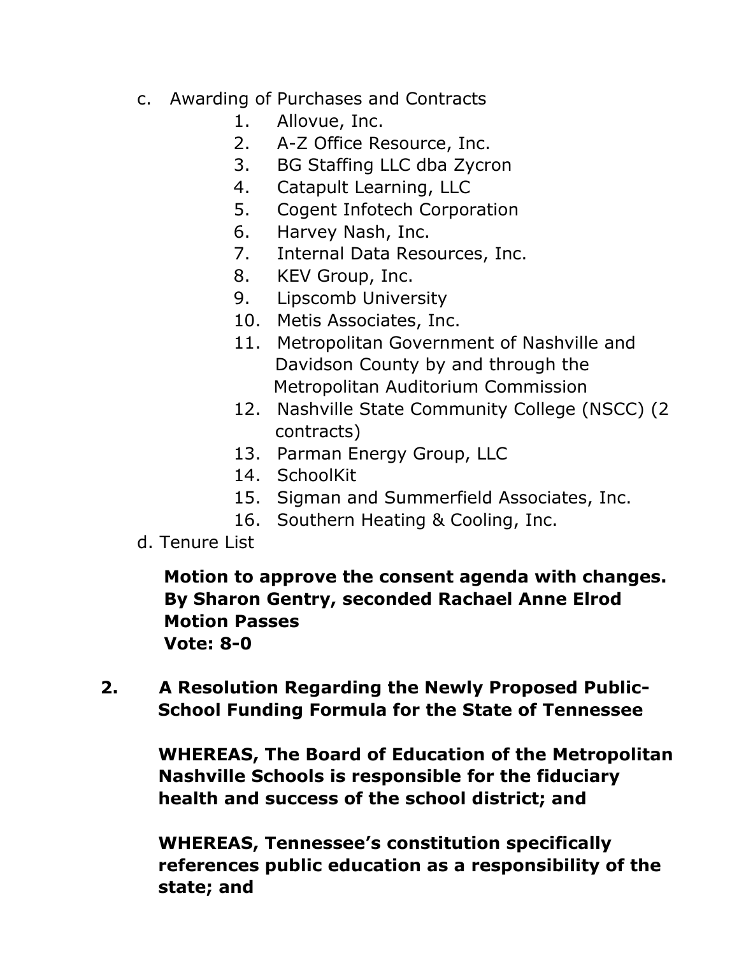- c. Awarding of Purchases and Contracts
	- 1. Allovue, Inc.
	- 2. A-Z Office Resource, Inc.
	- 3. BG Staffing LLC dba Zycron
	- 4. Catapult Learning, LLC
	- 5. Cogent Infotech Corporation
	- 6. Harvey Nash, Inc.
	- 7. Internal Data Resources, Inc.
	- 8. KEV Group, Inc.
	- 9. Lipscomb University
	- 10. Metis Associates, Inc.
	- 11. Metropolitan Government of Nashville and Davidson County by and through the Metropolitan Auditorium Commission
	- 12. Nashville State Community College (NSCC) (2 contracts)
	- 13. Parman Energy Group, LLC
	- 14. SchoolKit
	- 15. Sigman and Summerfield Associates, Inc.
	- 16. Southern Heating & Cooling, Inc.
- d. Tenure List

 **Motion to approve the consent agenda with changes. By Sharon Gentry, seconded Rachael Anne Elrod Motion Passes Vote: 8-0** 

 **2. A Resolution Regarding the Newly Proposed Public- School Funding Formula for the State of Tennessee** 

> **WHEREAS, The Board of Education of the Metropolitan Nashville Schools is responsible for the fiduciary health and success of the school district; and**

 **WHEREAS, Tennessee's constitution specifically references public education as a responsibility of the state; and**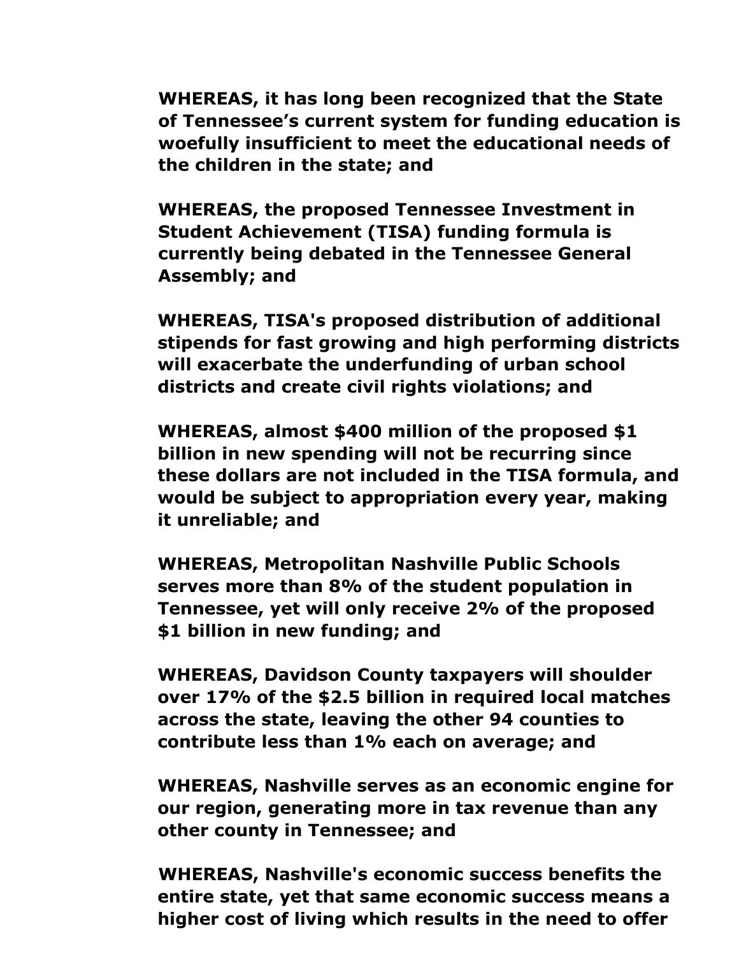**WHEREAS, it has long been recognized that the State of Tennessee's current system for funding education is woefully insufficient to meet the educational needs of the children in the state; and**

 **WHEREAS, the proposed Tennessee Investment in Student Achievement (TISA) funding formula is currently being debated in the Tennessee General Assembly; and**

**WHEREAS, TISA's proposed distribution of additional stipends for fast growing and high performing districts will exacerbate the underfunding of urban school districts and create civil rights violations; and**

**WHEREAS, almost \$400 million of the proposed \$1 billion in new spending will not be recurring since these dollars are not included in the TISA formula, and would be subject to appropriation every year, making it unreliable; and**

**WHEREAS, Metropolitan Nashville Public Schools serves more than 8% of the student population in Tennessee, yet will only receive 2% of the proposed \$1 billion in new funding; and**

**WHEREAS, Davidson County taxpayers will shoulder over 17% of the \$2.5 billion in required local matches across the state, leaving the other 94 counties to contribute less than 1% each on average; and**

**WHEREAS, Nashville serves as an economic engine for our region, generating more in tax revenue than any other county in Tennessee; and**

 **WHEREAS, Nashville's economic success benefits the entire state, yet that same economic success means a higher cost of living which results in the need to offer**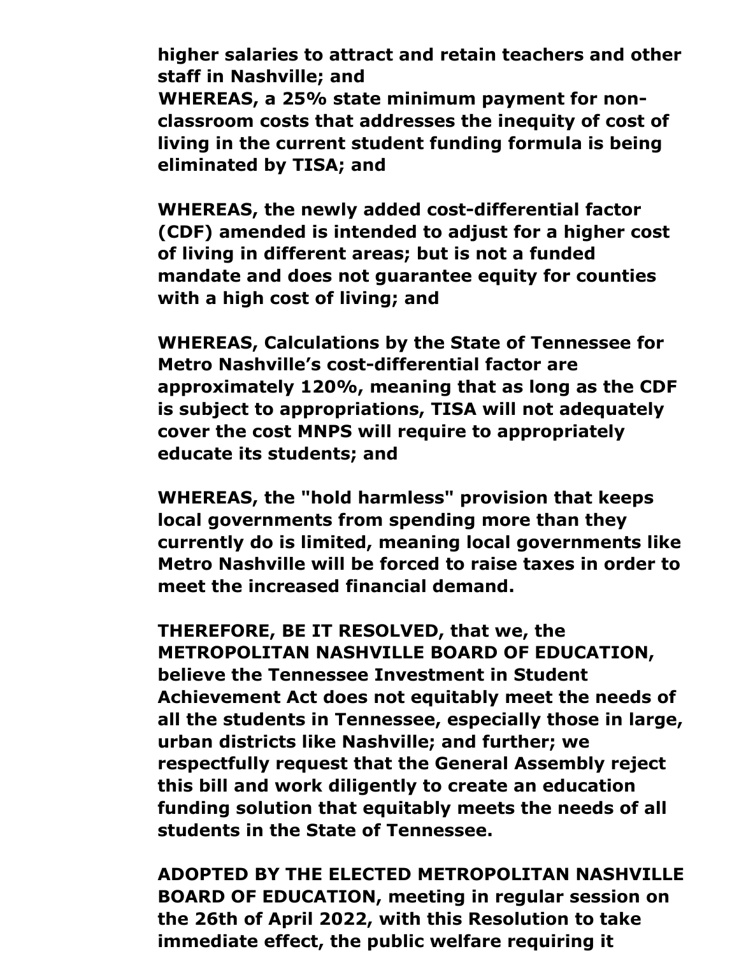**higher salaries to attract and retain teachers and other staff in Nashville; and WHEREAS, a 25% state minimum payment for nonclassroom costs that addresses the inequity of cost of living in the current student funding formula is being eliminated by TISA; and**

**WHEREAS, the newly added cost-differential factor (CDF) amended is intended to adjust for a higher cost of living in different areas; but is not a funded mandate and does not guarantee equity for counties with a high cost of living; and**

**WHEREAS, Calculations by the State of Tennessee for Metro Nashville's cost-differential factor are approximately 120%, meaning that as long as the CDF is subject to appropriations, TISA will not adequately cover the cost MNPS will require to appropriately educate its students; and**

**WHEREAS, the "hold harmless" provision that keeps local governments from spending more than they currently do is limited, meaning local governments like Metro Nashville will be forced to raise taxes in order to meet the increased financial demand.**

**THEREFORE, BE IT RESOLVED, that we, the METROPOLITAN NASHVILLE BOARD OF EDUCATION, believe the Tennessee Investment in Student Achievement Act does not equitably meet the needs of all the students in Tennessee, especially those in large, urban districts like Nashville; and further; we respectfully request that the General Assembly reject this bill and work diligently to create an education funding solution that equitably meets the needs of all students in the State of Tennessee.**

**ADOPTED BY THE ELECTED METROPOLITAN NASHVILLE BOARD OF EDUCATION, meeting in regular session on the 26th of April 2022, with this Resolution to take immediate effect, the public welfare requiring it**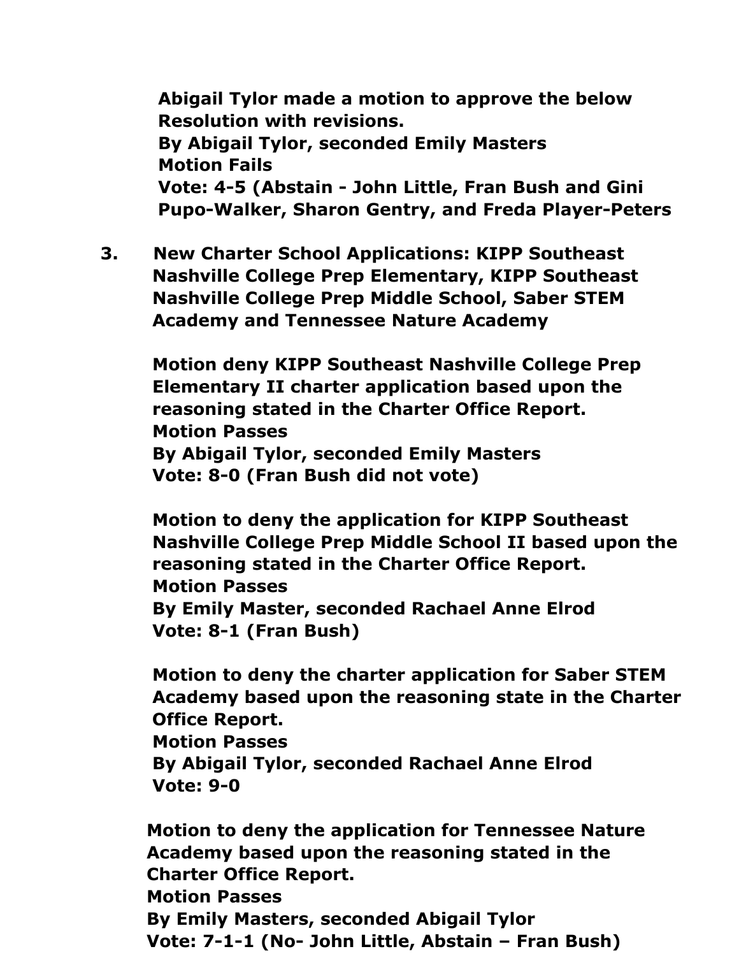**Abigail Tylor made a motion to approve the below Resolution with revisions. By Abigail Tylor, seconded Emily Masters Motion Fails Vote: 4-5 (Abstain - John Little, Fran Bush and Gini Pupo-Walker, Sharon Gentry, and Freda Player-Peters**

 **3. New Charter School Applications: KIPP Southeast Nashville College Prep Elementary, KIPP Southeast Nashville College Prep Middle School, Saber STEM Academy and Tennessee Nature Academy**

 **Motion deny KIPP Southeast Nashville College Prep Elementary II charter application based upon the reasoning stated in the Charter Office Report. Motion Passes By Abigail Tylor, seconded Emily Masters Vote: 8-0 (Fran Bush did not vote)**

 **Motion to deny the application for KIPP Southeast Nashville College Prep Middle School II based upon the reasoning stated in the Charter Office Report. Motion Passes By Emily Master, seconded Rachael Anne Elrod Vote: 8-1 (Fran Bush)**

 **Motion to deny the charter application for Saber STEM Academy based upon the reasoning state in the Charter Office Report. Motion Passes By Abigail Tylor, seconded Rachael Anne Elrod Vote: 9-0** 

 **Motion to deny the application for Tennessee Nature Academy based upon the reasoning stated in the Charter Office Report. Motion Passes By Emily Masters, seconded Abigail Tylor Vote: 7-1-1 (No- John Little, Abstain – Fran Bush)**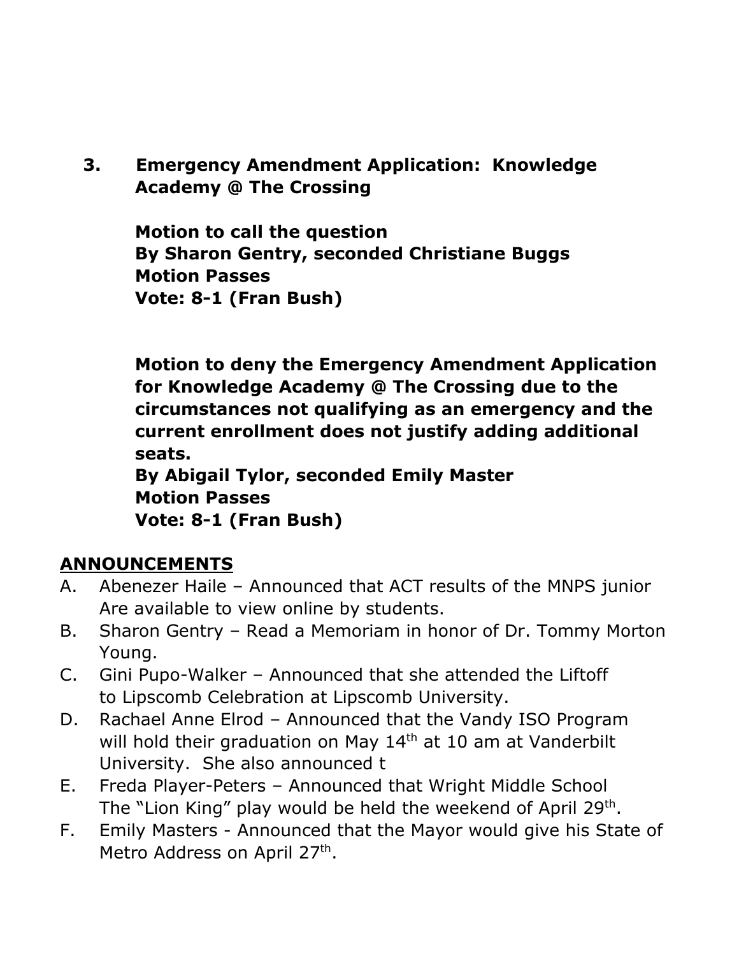**3. Emergency Amendment Application: Knowledge Academy @ The Crossing**

 **Motion to call the question By Sharon Gentry, seconded Christiane Buggs Motion Passes Vote: 8-1 (Fran Bush)**

 **Motion to deny the Emergency Amendment Application for Knowledge Academy @ The Crossing due to the circumstances not qualifying as an emergency and the current enrollment does not justify adding additional seats. By Abigail Tylor, seconded Emily Master Motion Passes**

 **Vote: 8-1 (Fran Bush)** 

# **ANNOUNCEMENTS**

- A. Abenezer Haile Announced that ACT results of the MNPS junior Are available to view online by students.
- B. Sharon Gentry Read a Memoriam in honor of Dr. Tommy Morton Young.
- C. Gini Pupo-Walker Announced that she attended the Liftoff to Lipscomb Celebration at Lipscomb University.
- D. Rachael Anne Elrod Announced that the Vandy ISO Program will hold their graduation on May 14<sup>th</sup> at 10 am at Vanderbilt University. She also announced t
- E. Freda Player-Peters Announced that Wright Middle School The "Lion King" play would be held the weekend of April 29<sup>th</sup>.
- F. Emily Masters Announced that the Mayor would give his State of Metro Address on April 27<sup>th</sup>.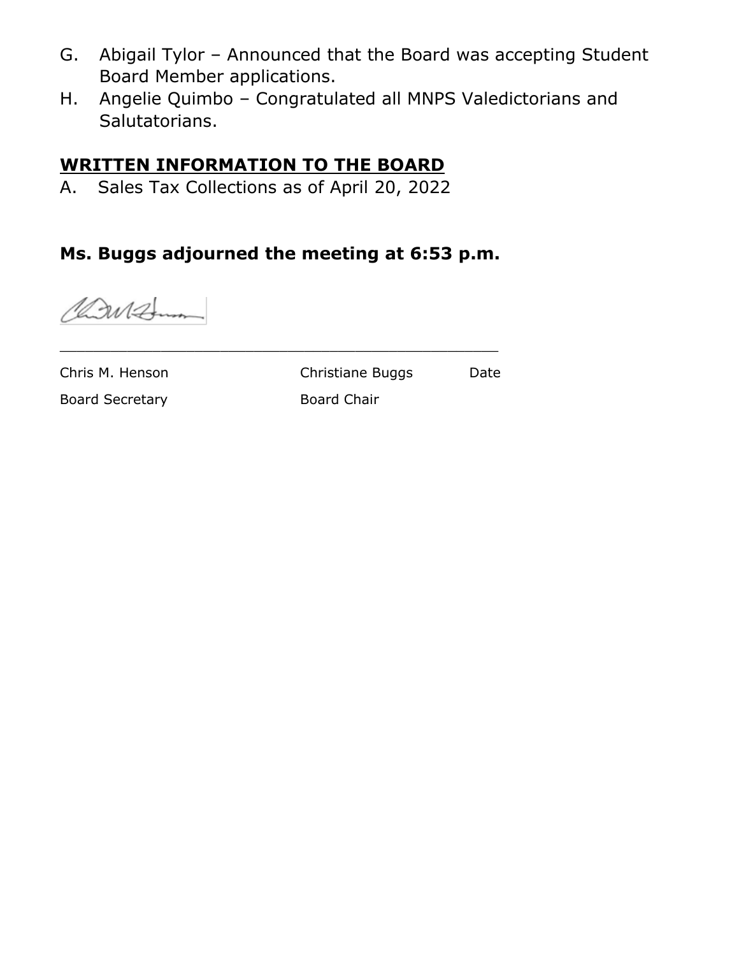- G. Abigail Tylor Announced that the Board was accepting Student Board Member applications.
- H. Angelie Quimbo Congratulated all MNPS Valedictorians and Salutatorians.

## **WRITTEN INFORMATION TO THE BOARD**

A. Sales Tax Collections as of April 20, 2022

# **Ms. Buggs adjourned the meeting at 6:53 p.m.**

\_\_\_\_\_\_\_\_\_\_\_\_\_\_\_\_\_\_\_\_\_\_\_\_\_\_\_\_\_\_\_\_\_\_\_\_\_\_\_\_\_\_\_\_\_\_\_\_\_\_\_\_

Car 12mm

Chris M. Henson Christiane Buggs Date

Board Secretary **Board Chair**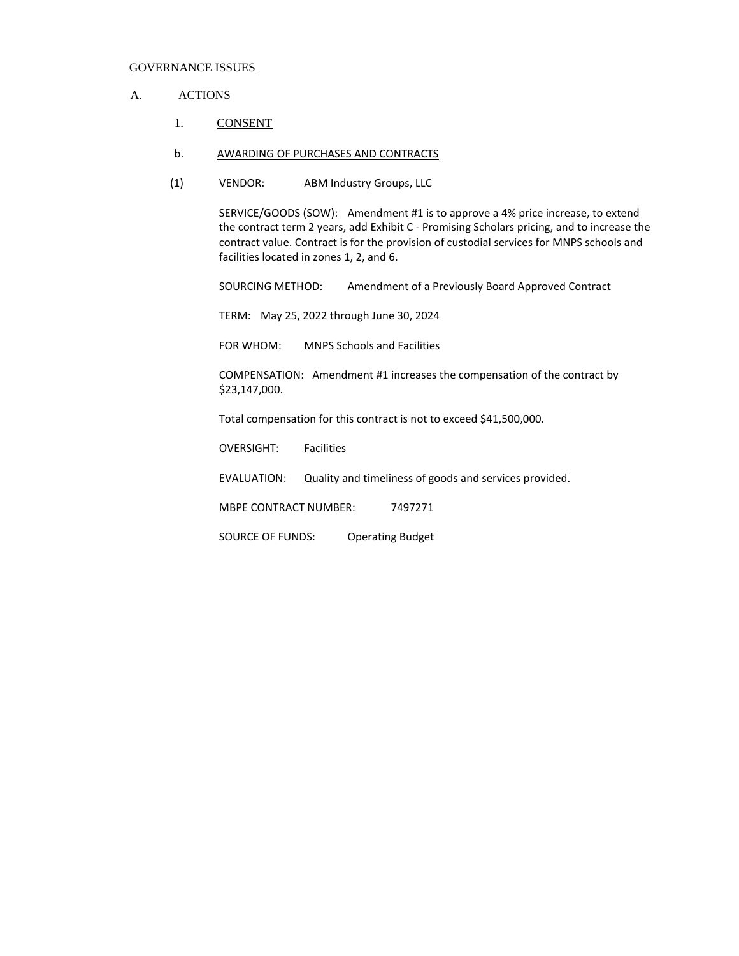#### A. ACTIONS

- 1. CONSENT
- b. AWARDING OF PURCHASES AND CONTRACTS
- (1) VENDOR: ABM Industry Groups, LLC

SERVICE/GOODS (SOW): Amendment #1 is to approve a 4% price increase, to extend the contract term 2 years, add Exhibit C - Promising Scholars pricing, and to increase the contract value. Contract is for the provision of custodial services for MNPS schools and facilities located in zones 1, 2, and 6.

SOURCING METHOD: Amendment of a Previously Board Approved Contract

TERM: May 25, 2022 through June 30, 2024

FOR WHOM: MNPS Schools and Facilities

COMPENSATION: Amendment #1 increases the compensation of the contract by \$23,147,000.

Total compensation for this contract is not to exceed \$41,500,000.

OVERSIGHT: Facilities

EVALUATION: Quality and timeliness of goods and services provided.

MBPE CONTRACT NUMBER: 7497271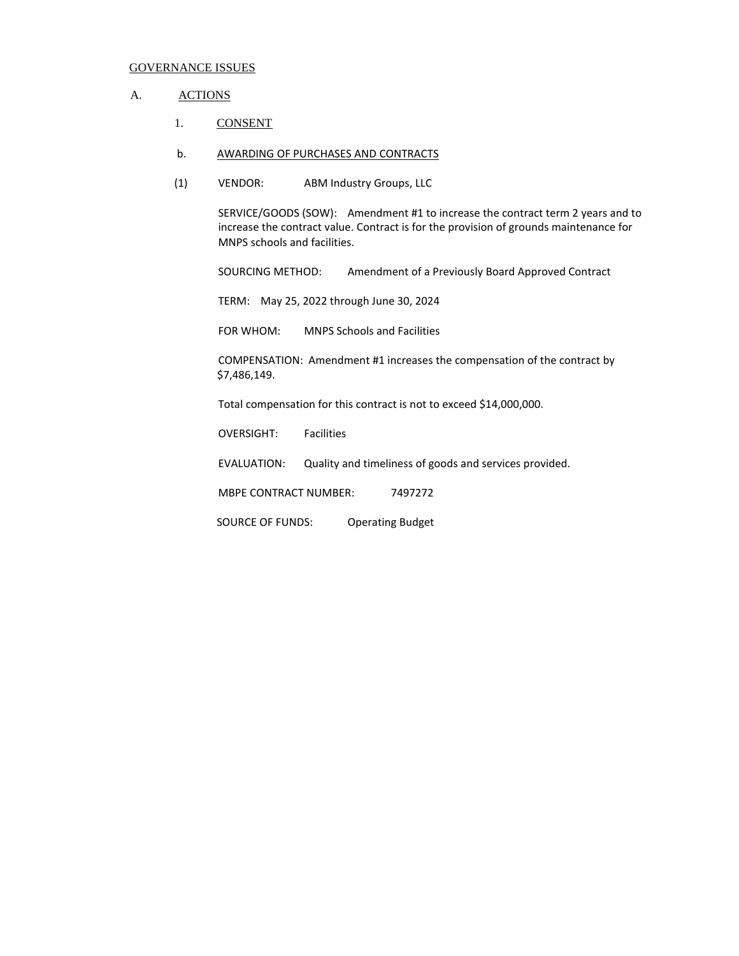#### A. ACTIONS

- 1. CONSENT
- b. AWARDING OF PURCHASES AND CONTRACTS
- (1) VENDOR: ABM Industry Groups, LLC

SERVICE/GOODS (SOW): Amendment #1 to increase the contract term 2 years and to increase the contract value. Contract is for the provision of grounds maintenance for MNPS schools and facilities.

SOURCING METHOD: Amendment of a Previously Board Approved Contract

TERM: May 25, 2022 through June 30, 2024

FOR WHOM: MNPS Schools and Facilities

COMPENSATION: Amendment #1 increases the compensation of the contract by \$7,486,149.

Total compensation for this contract is not to exceed \$14,000,000.

OVERSIGHT: Facilities

EVALUATION: Quality and timeliness of goods and services provided.

MBPE CONTRACT NUMBER: 7497272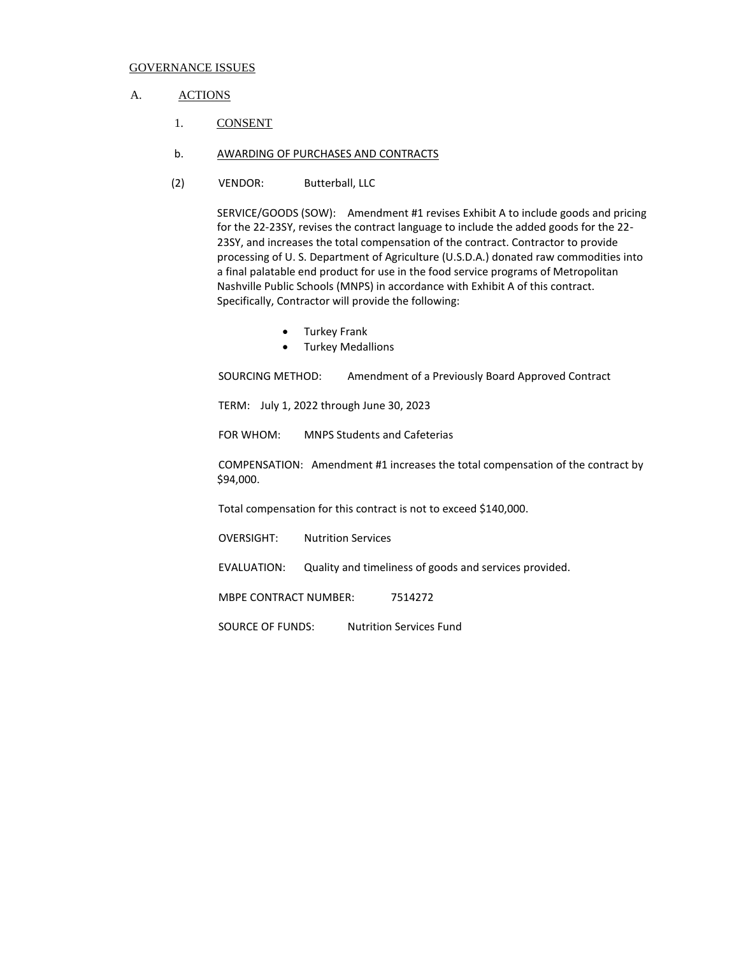#### A. ACTIONS

- 1. CONSENT
- b. AWARDING OF PURCHASES AND CONTRACTS
- (2) VENDOR: Butterball, LLC

SERVICE/GOODS (SOW): Amendment #1 revises Exhibit A to include goods and pricing for the 22-23SY, revises the contract language to include the added goods for the 22- 23SY, and increases the total compensation of the contract. Contractor to provide processing of U. S. Department of Agriculture (U.S.D.A.) donated raw commodities into a final palatable end product for use in the food service programs of Metropolitan Nashville Public Schools (MNPS) in accordance with Exhibit A of this contract. Specifically, Contractor will provide the following:

- Turkey Frank
- Turkey Medallions

SOURCING METHOD: Amendment of a Previously Board Approved Contract

TERM: July 1, 2022 through June 30, 2023

FOR WHOM: MNPS Students and Cafeterias

COMPENSATION: Amendment #1 increases the total compensation of the contract by \$94,000.

Total compensation for this contract is not to exceed \$140,000.

OVERSIGHT: Nutrition Services

EVALUATION: Quality and timeliness of goods and services provided.

MBPE CONTRACT NUMBER: 7514272

SOURCE OF FUNDS: Nutrition Services Fund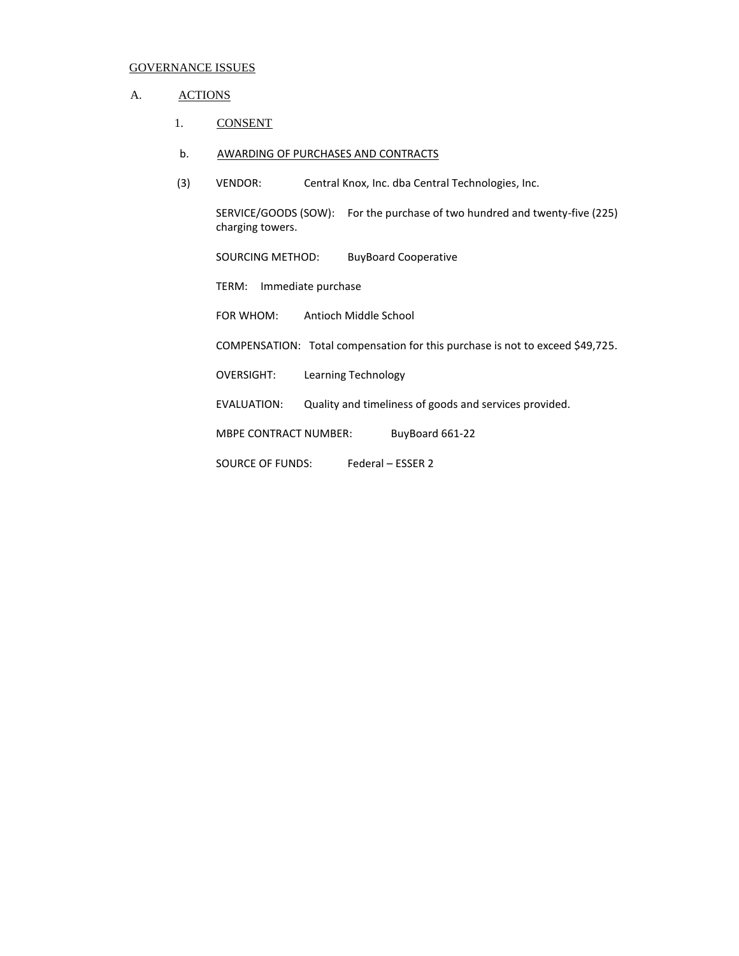### A. ACTIONS

1. CONSENT

#### b. AWARDING OF PURCHASES AND CONTRACTS

(3) VENDOR: Central Knox, Inc. dba Central Technologies, Inc.

SERVICE/GOODS (SOW): For the purchase of two hundred and twenty-five (225) charging towers.

SOURCING METHOD: BuyBoard Cooperative

TERM: Immediate purchase

FOR WHOM: Antioch Middle School

COMPENSATION: Total compensation for this purchase is not to exceed \$49,725.

OVERSIGHT: Learning Technology

EVALUATION: Quality and timeliness of goods and services provided.

MBPE CONTRACT NUMBER: BuyBoard 661-22

SOURCE OF FUNDS: Federal – ESSER 2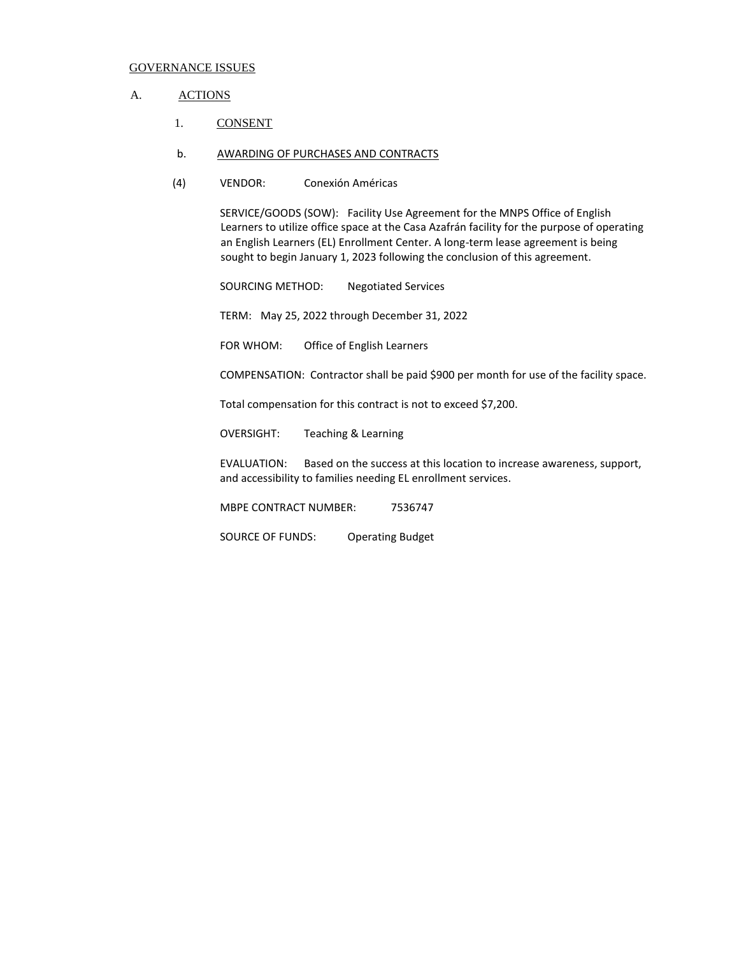#### A. ACTIONS

- 1. CONSENT
- b. AWARDING OF PURCHASES AND CONTRACTS
- (4) VENDOR: Conexión Américas

SERVICE/GOODS (SOW): Facility Use Agreement for the MNPS Office of English Learners to utilize office space at the Casa Azafrán facility for the purpose of operating an English Learners (EL) Enrollment Center. A long-term lease agreement is being sought to begin January 1, 2023 following the conclusion of this agreement.

SOURCING METHOD: Negotiated Services

TERM: May 25, 2022 through December 31, 2022

FOR WHOM: Office of English Learners

COMPENSATION: Contractor shall be paid \$900 per month for use of the facility space.

Total compensation for this contract is not to exceed \$7,200.

OVERSIGHT: Teaching & Learning

EVALUATION: Based on the success at this location to increase awareness, support, and accessibility to families needing EL enrollment services.

MBPE CONTRACT NUMBER: 7536747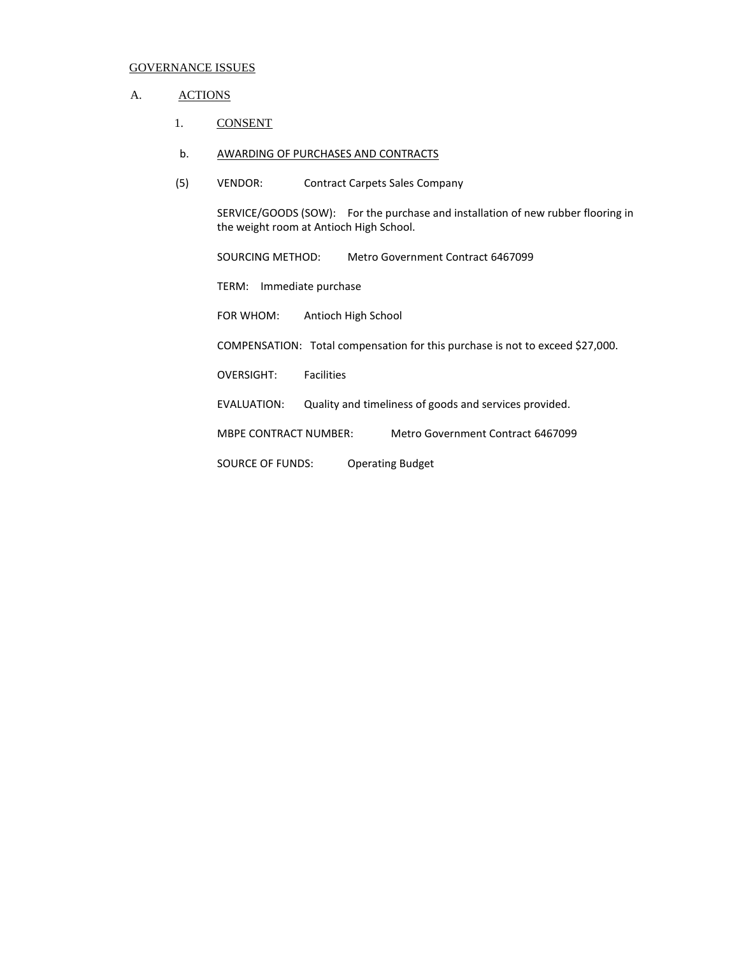#### A. ACTIONS

1. CONSENT

#### b. AWARDING OF PURCHASES AND CONTRACTS

(5) VENDOR: Contract Carpets Sales Company

SERVICE/GOODS (SOW): For the purchase and installation of new rubber flooring in the weight room at Antioch High School.

SOURCING METHOD: Metro Government Contract 6467099

TERM: Immediate purchase

FOR WHOM: Antioch High School

COMPENSATION: Total compensation for this purchase is not to exceed \$27,000.

OVERSIGHT: Facilities

EVALUATION: Quality and timeliness of goods and services provided.

MBPE CONTRACT NUMBER: Metro Government Contract 6467099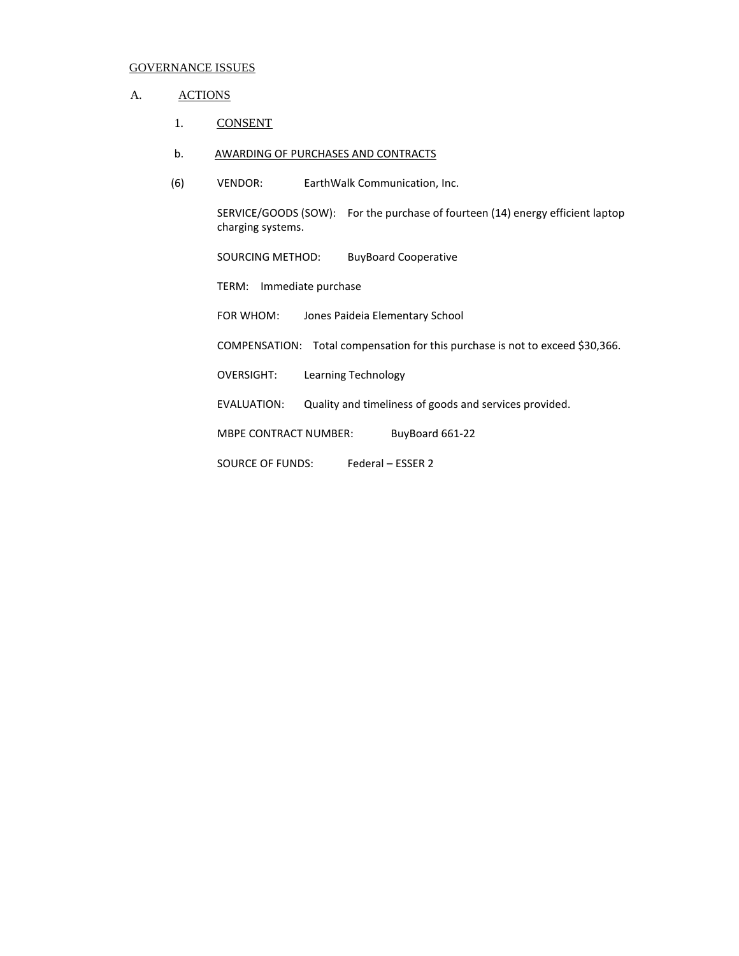### A. ACTIONS

1. CONSENT

#### b. AWARDING OF PURCHASES AND CONTRACTS

(6) VENDOR: EarthWalk Communication, Inc.

SERVICE/GOODS (SOW): For the purchase of fourteen (14) energy efficient laptop charging systems.

SOURCING METHOD: BuyBoard Cooperative

TERM: Immediate purchase

FOR WHOM: Jones Paideia Elementary School

COMPENSATION: Total compensation for this purchase is not to exceed \$30,366.

OVERSIGHT: Learning Technology

EVALUATION: Quality and timeliness of goods and services provided.

MBPE CONTRACT NUMBER: BuyBoard 661-22

SOURCE OF FUNDS: Federal – ESSER 2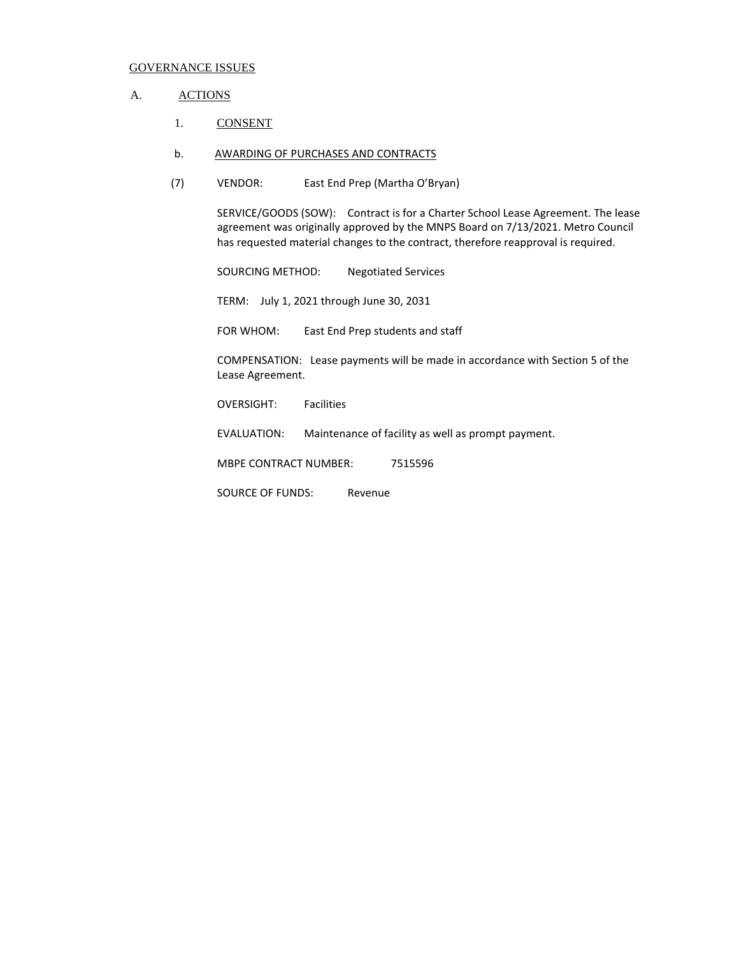#### A. ACTIONS

- 1. CONSENT
- b. AWARDING OF PURCHASES AND CONTRACTS
- (7) VENDOR: East End Prep (Martha O'Bryan)

SERVICE/GOODS (SOW): Contract is for a Charter School Lease Agreement. The lease agreement was originally approved by the MNPS Board on 7/13/2021. Metro Council has requested material changes to the contract, therefore reapproval is required.

SOURCING METHOD: Negotiated Services

TERM: July 1, 2021 through June 30, 2031

FOR WHOM: East End Prep students and staff

COMPENSATION: Lease payments will be made in accordance with Section 5 of the Lease Agreement.

OVERSIGHT: Facilities

EVALUATION: Maintenance of facility as well as prompt payment.

MBPE CONTRACT NUMBER: 7515596

SOURCE OF FUNDS: Revenue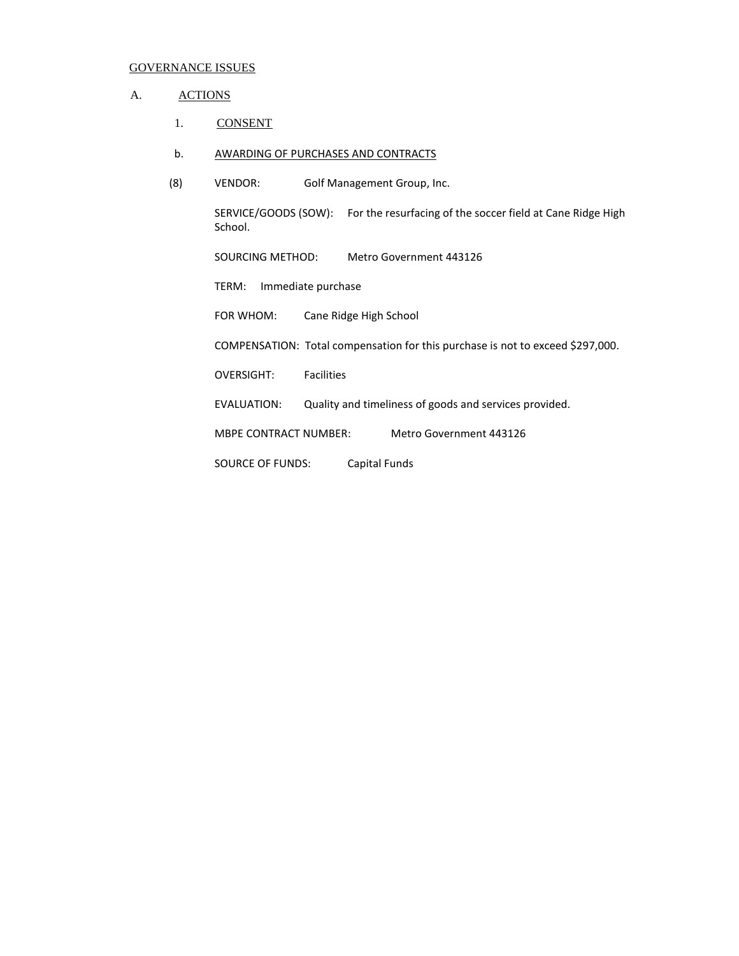### A. ACTIONS

1. CONSENT

#### b. AWARDING OF PURCHASES AND CONTRACTS

(8) VENDOR: Golf Management Group, Inc.

SERVICE/GOODS (SOW): For the resurfacing of the soccer field at Cane Ridge High School.

SOURCING METHOD: Metro Government 443126

TERM: Immediate purchase

FOR WHOM: Cane Ridge High School

COMPENSATION: Total compensation for this purchase is not to exceed \$297,000.

OVERSIGHT: Facilities

EVALUATION: Quality and timeliness of goods and services provided.

MBPE CONTRACT NUMBER: Metro Government 443126

SOURCE OF FUNDS: Capital Funds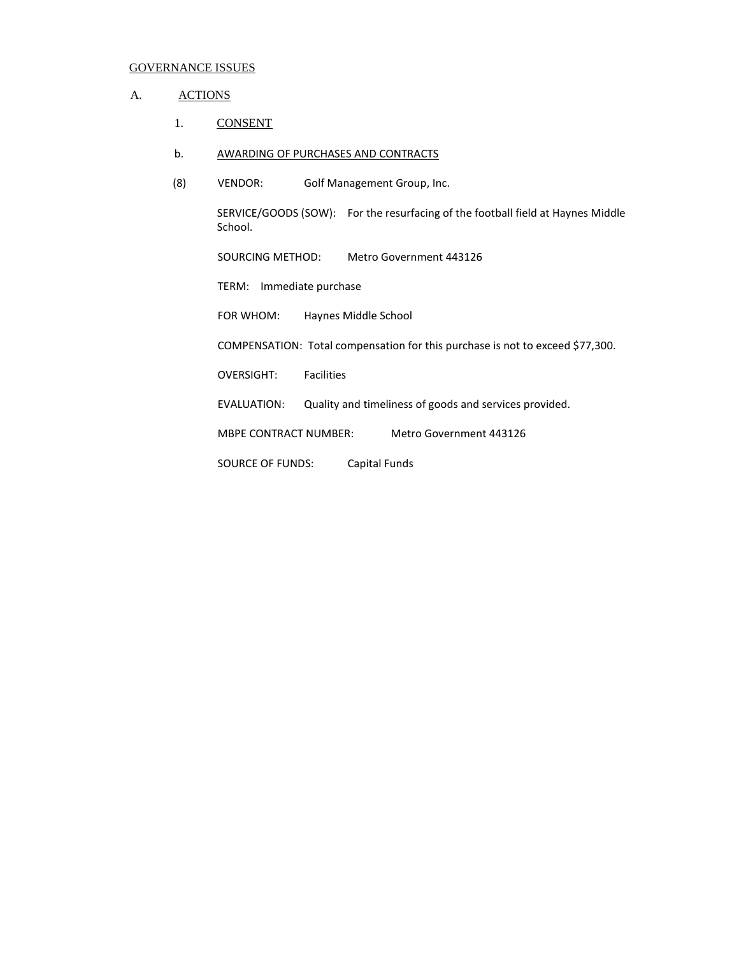### A. ACTIONS

1. CONSENT

#### b. AWARDING OF PURCHASES AND CONTRACTS

(8) VENDOR: Golf Management Group, Inc.

SERVICE/GOODS (SOW): For the resurfacing of the football field at Haynes Middle School.

SOURCING METHOD: Metro Government 443126

TERM: Immediate purchase

FOR WHOM: Haynes Middle School

COMPENSATION: Total compensation for this purchase is not to exceed \$77,300.

OVERSIGHT: Facilities

EVALUATION: Quality and timeliness of goods and services provided.

MBPE CONTRACT NUMBER: Metro Government 443126

SOURCE OF FUNDS: Capital Funds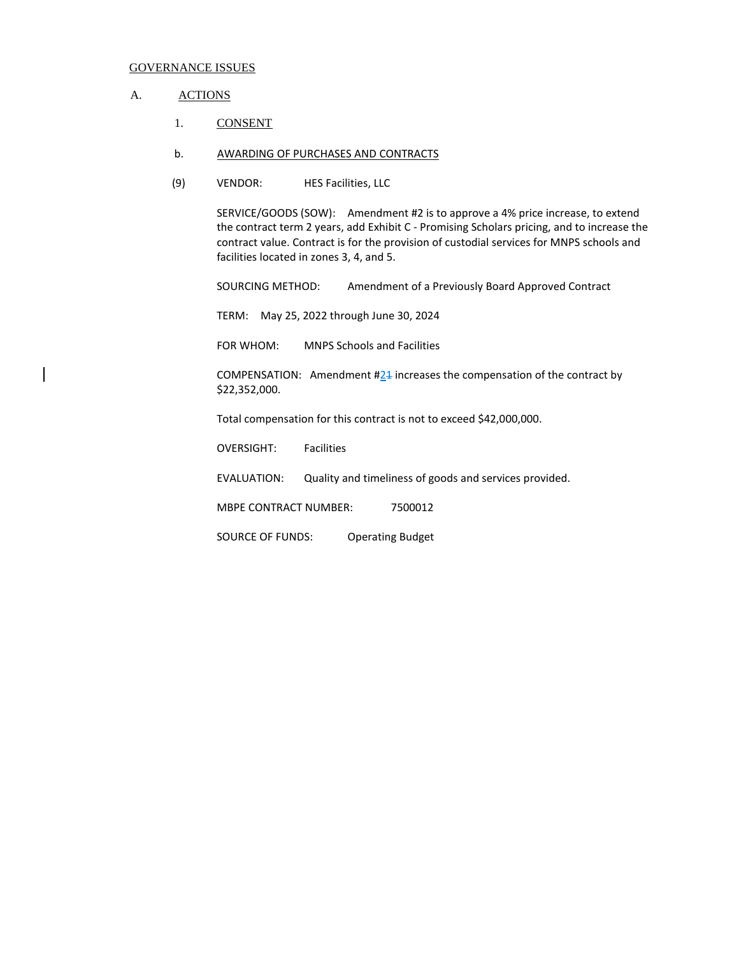#### A. ACTIONS

- 1. CONSENT
- b. AWARDING OF PURCHASES AND CONTRACTS
- (9) VENDOR: HES Facilities, LLC

SERVICE/GOODS (SOW): Amendment #2 is to approve a 4% price increase, to extend the contract term 2 years, add Exhibit C - Promising Scholars pricing, and to increase the contract value. Contract is for the provision of custodial services for MNPS schools and facilities located in zones 3, 4, and 5.

SOURCING METHOD: Amendment of a Previously Board Approved Contract

TERM: May 25, 2022 through June 30, 2024

FOR WHOM: MNPS Schools and Facilities

COMPENSATION: Amendment #24 increases the compensation of the contract by \$22,352,000.

Total compensation for this contract is not to exceed \$42,000,000.

OVERSIGHT: Facilities

EVALUATION: Quality and timeliness of goods and services provided.

MBPE CONTRACT NUMBER: 7500012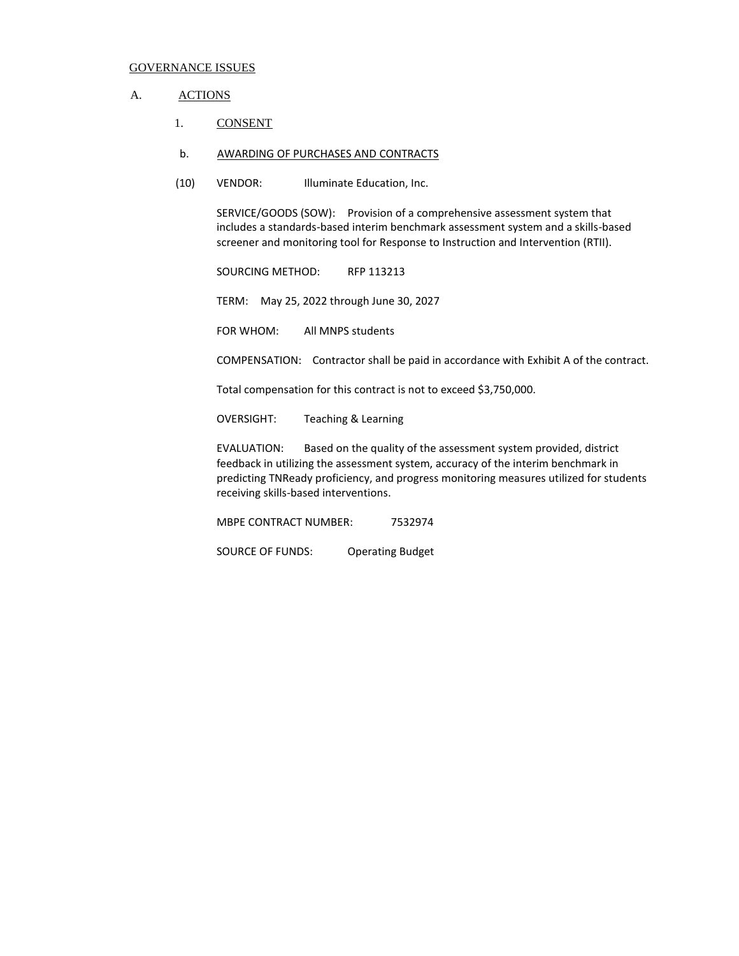#### A. **ACTIONS**

- 1. CONSENT
- b. AWARDING OF PURCHASES AND CONTRACTS
- (10) VENDOR: Illuminate Education, Inc.

SERVICE/GOODS (SOW): Provision of a comprehensive assessment system that includes a standards-based interim benchmark assessment system and a skills-based screener and monitoring tool for Response to Instruction and Intervention (RTII).

SOURCING METHOD: RFP 113213

TERM: May 25, 2022 through June 30, 2027

FOR WHOM: All MNPS students

COMPENSATION: Contractor shall be paid in accordance with Exhibit A of the contract.

Total compensation for this contract is not to exceed \$3,750,000.

OVERSIGHT: Teaching & Learning

EVALUATION: Based on the quality of the assessment system provided, district feedback in utilizing the assessment system, accuracy of the interim benchmark in predicting TNReady proficiency, and progress monitoring measures utilized for students receiving skills-based interventions.

MBPE CONTRACT NUMBER: 7532974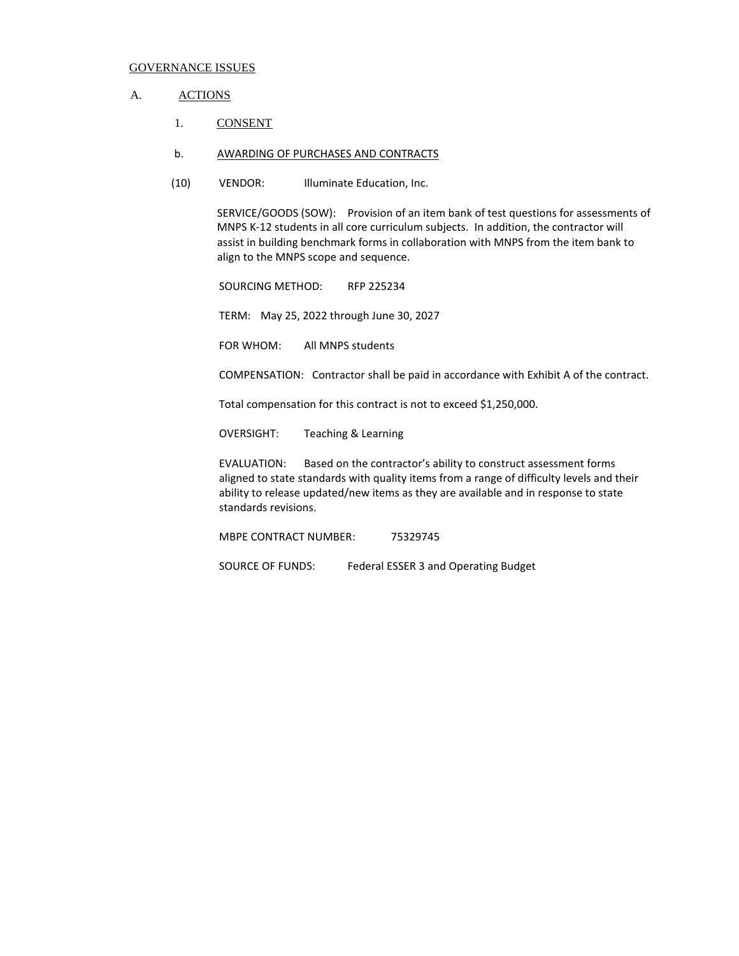#### A. ACTIONS

- 1. CONSENT
- b. AWARDING OF PURCHASES AND CONTRACTS
- (10) VENDOR: Illuminate Education, Inc.

SERVICE/GOODS (SOW): Provision of an item bank of test questions for assessments of MNPS K-12 students in all core curriculum subjects. In addition, the contractor will assist in building benchmark forms in collaboration with MNPS from the item bank to align to the MNPS scope and sequence.

SOURCING METHOD: RFP 225234

TERM: May 25, 2022 through June 30, 2027

FOR WHOM: All MNPS students

COMPENSATION: Contractor shall be paid in accordance with Exhibit A of the contract.

Total compensation for this contract is not to exceed \$1,250,000.

OVERSIGHT: Teaching & Learning

EVALUATION: Based on the contractor's ability to construct assessment forms aligned to state standards with quality items from a range of difficulty levels and their ability to release updated/new items as they are available and in response to state standards revisions.

MBPE CONTRACT NUMBER: 75329745

SOURCE OF FUNDS: Federal ESSER 3 and Operating Budget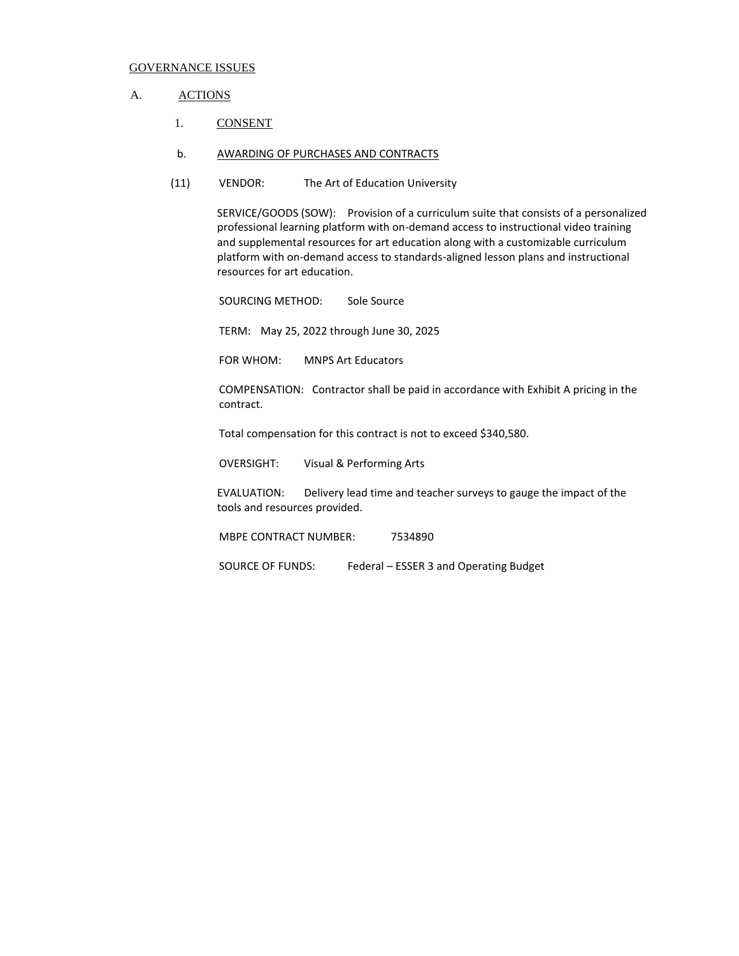#### A. **ACTIONS**

1. CONSENT

#### b. AWARDING OF PURCHASES AND CONTRACTS

(11) VENDOR: The Art of Education University

SERVICE/GOODS (SOW): Provision of a curriculum suite that consists of a personalized professional learning platform with on-demand access to instructional video training and supplemental resources for art education along with a customizable curriculum platform with on-demand access to standards-aligned lesson plans and instructional resources for art education.

SOURCING METHOD: Sole Source

TERM: May 25, 2022 through June 30, 2025

FOR WHOM: MNPS Art Educators

COMPENSATION: Contractor shall be paid in accordance with Exhibit A pricing in the contract.

Total compensation for this contract is not to exceed \$340,580.

OVERSIGHT: Visual & Performing Arts

EVALUATION: Delivery lead time and teacher surveys to gauge the impact of the tools and resources provided.

MBPE CONTRACT NUMBER: 7534890

SOURCE OF FUNDS: Federal – ESSER 3 and Operating Budget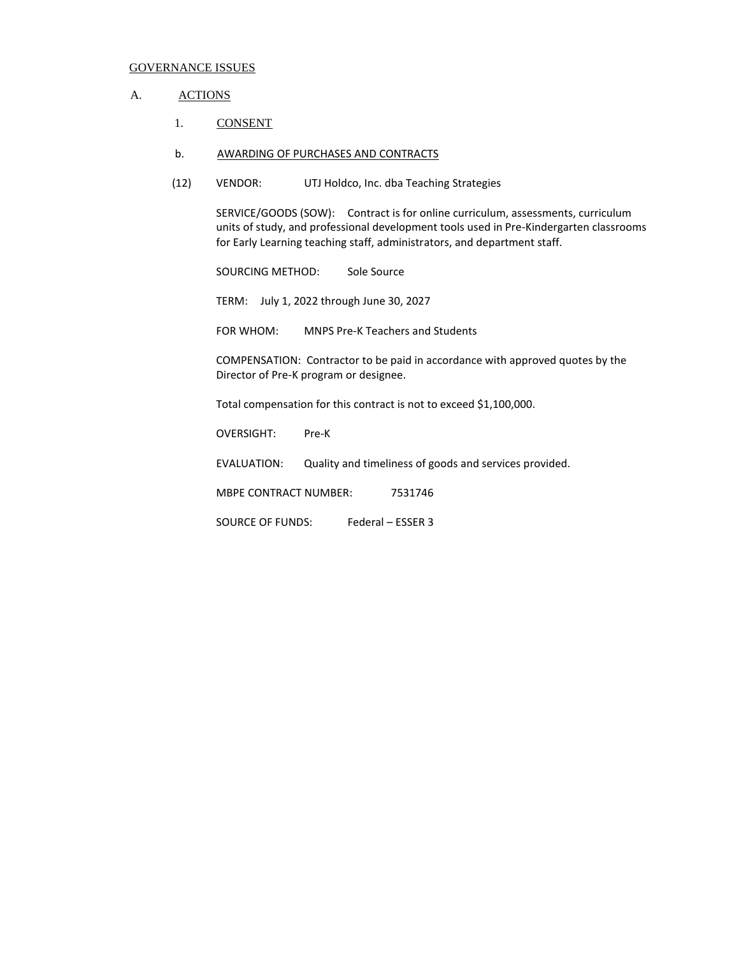#### A. ACTIONS

- 1. CONSENT
- b. AWARDING OF PURCHASES AND CONTRACTS
- (12) VENDOR: UTJ Holdco, Inc. dba Teaching Strategies

SERVICE/GOODS (SOW): Contract is for online curriculum, assessments, curriculum units of study, and professional development tools used in Pre-Kindergarten classrooms for Early Learning teaching staff, administrators, and department staff.

SOURCING METHOD: Sole Source

TERM: July 1, 2022 through June 30, 2027

FOR WHOM: MNPS Pre-K Teachers and Students

COMPENSATION: Contractor to be paid in accordance with approved quotes by the Director of Pre-K program or designee.

Total compensation for this contract is not to exceed \$1,100,000.

OVERSIGHT: Pre-K

EVALUATION: Quality and timeliness of goods and services provided.

MBPE CONTRACT NUMBER: 7531746

SOURCE OF FUNDS: Federal – ESSER 3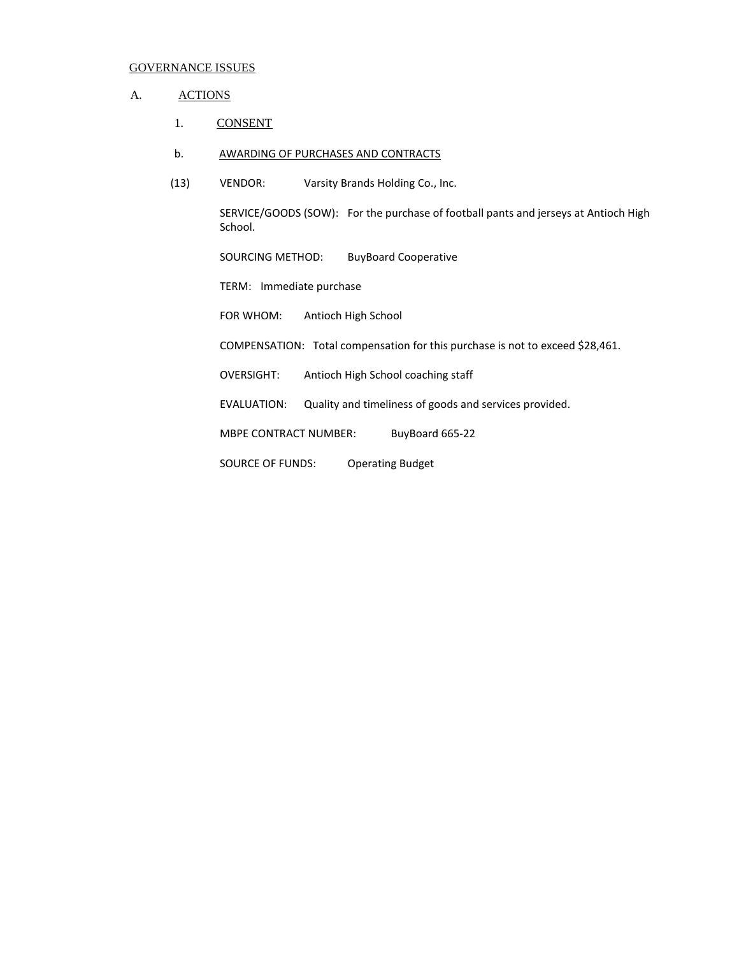### A. ACTIONS

1. CONSENT

#### b. AWARDING OF PURCHASES AND CONTRACTS

(13) VENDOR: Varsity Brands Holding Co., Inc.

SERVICE/GOODS (SOW): For the purchase of football pants and jerseys at Antioch High School.

SOURCING METHOD: BuyBoard Cooperative

TERM: Immediate purchase

FOR WHOM: Antioch High School

COMPENSATION: Total compensation for this purchase is not to exceed \$28,461.

OVERSIGHT: Antioch High School coaching staff

EVALUATION: Quality and timeliness of goods and services provided.

MBPE CONTRACT NUMBER: BuyBoard 665-22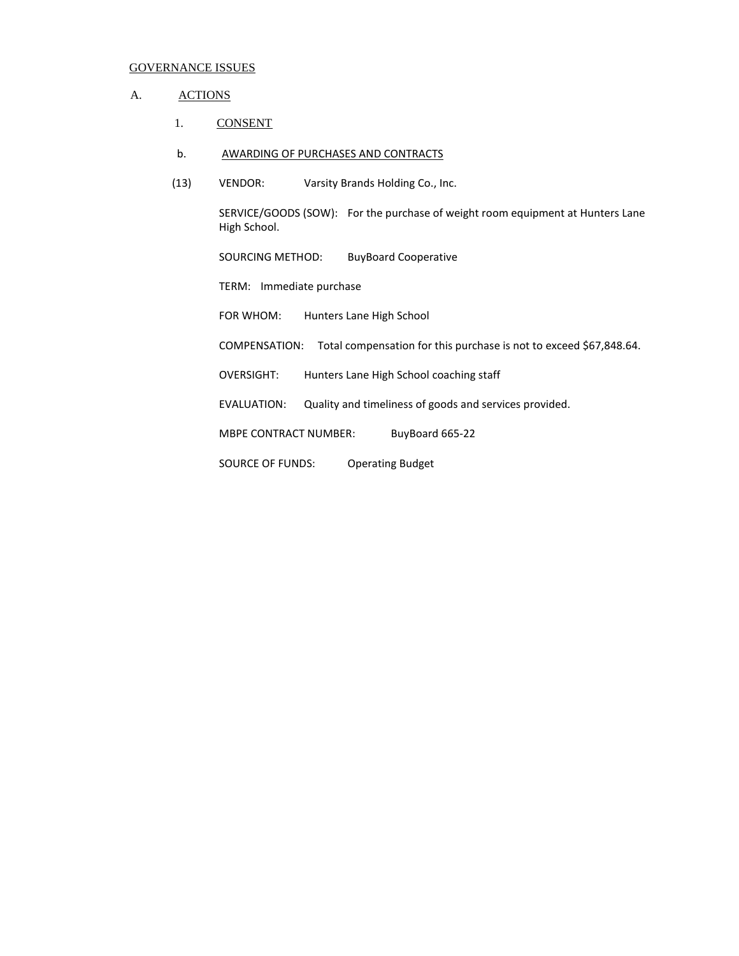### A. ACTIONS

- 1. CONSENT
- b. AWARDING OF PURCHASES AND CONTRACTS
- (13) VENDOR: Varsity Brands Holding Co., Inc.

SERVICE/GOODS (SOW): For the purchase of weight room equipment at Hunters Lane High School.

SOURCING METHOD: BuyBoard Cooperative

TERM: Immediate purchase

FOR WHOM: Hunters Lane High School

COMPENSATION: Total compensation for this purchase is not to exceed \$67,848.64.

OVERSIGHT: Hunters Lane High School coaching staff

EVALUATION: Quality and timeliness of goods and services provided.

MBPE CONTRACT NUMBER: BuyBoard 665-22